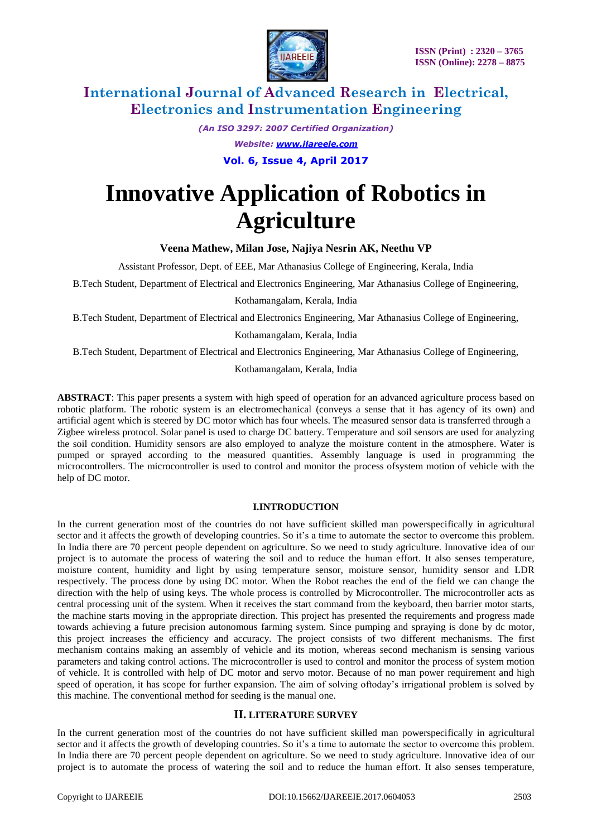

> *(An ISO 3297: 2007 Certified Organization) Website: [www.ijareeie.com](http://www.ijareeie.com/)* **Vol. 6, Issue 4, April 2017**

# **Innovative Application of Robotics in Agriculture**

**Veena Mathew, Milan Jose, Najiya Nesrin AK, Neethu VP**

Assistant Professor, Dept. of EEE, Mar Athanasius College of Engineering, Kerala, India

B.Tech Student, Department of Electrical and Electronics Engineering, Mar Athanasius College of Engineering,

Kothamangalam, Kerala, India

B.Tech Student, Department of Electrical and Electronics Engineering, Mar Athanasius College of Engineering,

Kothamangalam, Kerala, India

B.Tech Student, Department of Electrical and Electronics Engineering, Mar Athanasius College of Engineering,

Kothamangalam, Kerala, India

**ABSTRACT**: This paper presents a system with high speed of operation for an advanced agriculture process based on robotic platform. The robotic system is an electromechanical (conveys a sense that it has agency of its own) and artificial agent which is steered by DC motor which has four wheels. The measured sensor data is transferred through a Zigbee wireless protocol. Solar panel is used to charge DC battery. Temperature and soil sensors are used for analyzing the soil condition. Humidity sensors are also employed to analyze the moisture content in the atmosphere. Water is pumped or sprayed according to the measured quantities. Assembly language is used in programming the microcontrollers. The microcontroller is used to control and monitor the process ofsystem motion of vehicle with the help of DC motor.

#### **I.INTRODUCTION**

In the current generation most of the countries do not have sufficient skilled man powerspecifically in agricultural sector and it affects the growth of developing countries. So it's a time to automate the sector to overcome this problem. In India there are 70 percent people dependent on agriculture. So we need to study agriculture. Innovative idea of our project is to automate the process of watering the soil and to reduce the human effort. It also senses temperature, moisture content, humidity and light by using temperature sensor, moisture sensor, humidity sensor and LDR respectively. The process done by using DC motor. When the Robot reaches the end of the field we can change the direction with the help of using keys. The whole process is controlled by Microcontroller. The microcontroller acts as central processing unit of the system. When it receives the start command from the keyboard, then barrier motor starts, the machine starts moving in the appropriate direction. This project has presented the requirements and progress made towards achieving a future precision autonomous farming system. Since pumping and spraying is done by dc motor, this project increases the efficiency and accuracy. The project consists of two different mechanisms. The first mechanism contains making an assembly of vehicle and its motion, whereas second mechanism is sensing various parameters and taking control actions. The microcontroller is used to control and monitor the process of system motion of vehicle. It is controlled with help of DC motor and servo motor. Because of no man power requirement and high speed of operation, it has scope for further expansion. The aim of solving oftoday's irrigational problem is solved by this machine. The conventional method for seeding is the manual one.

#### **II. LITERATURE SURVEY**

In the current generation most of the countries do not have sufficient skilled man powerspecifically in agricultural sector and it affects the growth of developing countries. So it's a time to automate the sector to overcome this problem. In India there are 70 percent people dependent on agriculture. So we need to study agriculture. Innovative idea of our project is to automate the process of watering the soil and to reduce the human effort. It also senses temperature,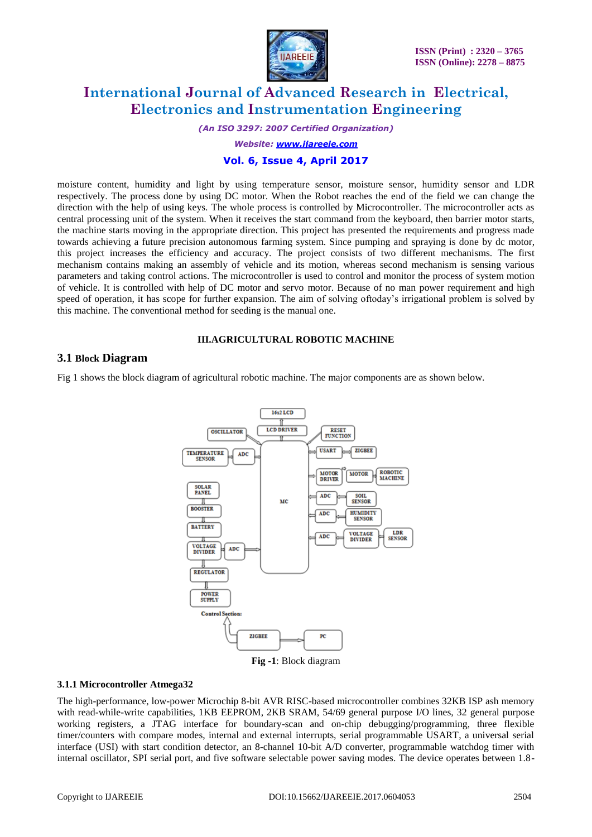

*(An ISO 3297: 2007 Certified Organization)*

*Website: [www.ijareeie.com](http://www.ijareeie.com/)*

### **Vol. 6, Issue 4, April 2017**

moisture content, humidity and light by using temperature sensor, moisture sensor, humidity sensor and LDR respectively. The process done by using DC motor. When the Robot reaches the end of the field we can change the direction with the help of using keys. The whole process is controlled by Microcontroller. The microcontroller acts as central processing unit of the system. When it receives the start command from the keyboard, then barrier motor starts, the machine starts moving in the appropriate direction. This project has presented the requirements and progress made towards achieving a future precision autonomous farming system. Since pumping and spraying is done by dc motor, this project increases the efficiency and accuracy. The project consists of two different mechanisms. The first mechanism contains making an assembly of vehicle and its motion, whereas second mechanism is sensing various parameters and taking control actions. The microcontroller is used to control and monitor the process of system motion of vehicle. It is controlled with help of DC motor and servo motor. Because of no man power requirement and high speed of operation, it has scope for further expansion. The aim of solving oftoday's irrigational problem is solved by this machine. The conventional method for seeding is the manual one.

### **III.AGRICULTURAL ROBOTIC MACHINE**

### **3.1 Block Diagram**

Fig 1 shows the block diagram of agricultural robotic machine. The major components are as shown below.



#### **3.1.1 Microcontroller Atmega32**

The high-performance, low-power Microchip 8-bit AVR RISC-based microcontroller combines 32KB ISP ash memory with read-while-write capabilities, 1KB EEPROM, 2KB SRAM, 54/69 general purpose I/O lines, 32 general purpose working registers, a JTAG interface for boundary-scan and on-chip debugging/programming, three flexible timer/counters with compare modes, internal and external interrupts, serial programmable USART, a universal serial interface (USI) with start condition detector, an 8-channel 10-bit A/D converter, programmable watchdog timer with internal oscillator, SPI serial port, and five software selectable power saving modes. The device operates between 1.8-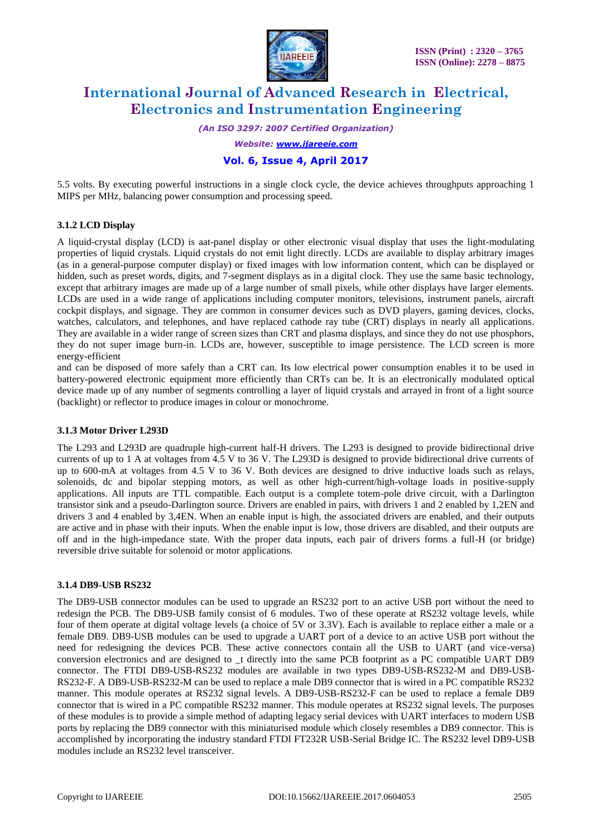

*(An ISO 3297: 2007 Certified Organization)*

*Website: [www.ijareeie.com](http://www.ijareeie.com/)*

### **Vol. 6, Issue 4, April 2017**

5.5 volts. By executing powerful instructions in a single clock cycle, the device achieves throughputs approaching 1 MIPS per MHz, balancing power consumption and processing speed.

### **3.1.2 LCD Display**

A liquid-crystal display (LCD) is aat-panel display or other electronic visual display that uses the light-modulating properties of liquid crystals. Liquid crystals do not emit light directly. LCDs are available to display arbitrary images (as in a general-purpose computer display) or fixed images with low information content, which can be displayed or hidden, such as preset words, digits, and 7-segment displays as in a digital clock. They use the same basic technology, except that arbitrary images are made up of a large number of small pixels, while other displays have larger elements. LCDs are used in a wide range of applications including computer monitors, televisions, instrument panels, aircraft cockpit displays, and signage. They are common in consumer devices such as DVD players, gaming devices, clocks, watches, calculators, and telephones, and have replaced cathode ray tube (CRT) displays in nearly all applications. They are available in a wider range of screen sizes than CRT and plasma displays, and since they do not use phosphors, they do not super image burn-in. LCDs are, however, susceptible to image persistence. The LCD screen is more energy-efficient

and can be disposed of more safely than a CRT can. Its low electrical power consumption enables it to be used in battery-powered electronic equipment more efficiently than CRTs can be. It is an electronically modulated optical device made up of any number of segments controlling a layer of liquid crystals and arrayed in front of a light source (backlight) or reflector to produce images in colour or monochrome.

#### **3.1.3 Motor Driver L293D**

The L293 and L293D are quadruple high-current half-H drivers. The L293 is designed to provide bidirectional drive currents of up to 1 A at voltages from 4.5 V to 36 V. The L293D is designed to provide bidirectional drive currents of up to 600-mA at voltages from 4.5 V to 36 V. Both devices are designed to drive inductive loads such as relays, solenoids, dc and bipolar stepping motors, as well as other high-current/high-voltage loads in positive-supply applications. All inputs are TTL compatible. Each output is a complete totem-pole drive circuit, with a Darlington transistor sink and a pseudo-Darlington source. Drivers are enabled in pairs, with drivers 1 and 2 enabled by 1,2EN and drivers 3 and 4 enabled by 3,4EN. When an enable input is high, the associated drivers are enabled, and their outputs are active and in phase with their inputs. When the enable input is low, those drivers are disabled, and their outputs are off and in the high-impedance state. With the proper data inputs, each pair of drivers forms a full-H (or bridge) reversible drive suitable for solenoid or motor applications.

#### **3.1.4 DB9-USB RS232**

The DB9-USB connector modules can be used to upgrade an RS232 port to an active USB port without the need to redesign the PCB. The DB9-USB family consist of 6 modules. Two of these operate at RS232 voltage levels, while four of them operate at digital voltage levels (a choice of 5V or 3.3V). Each is available to replace either a male or a female DB9. DB9-USB modules can be used to upgrade a UART port of a device to an active USB port without the need for redesigning the devices PCB. These active connectors contain all the USB to UART (and vice-versa) conversion electronics and are designed to \_t directly into the same PCB footprint as a PC compatible UART DB9 connector. The FTDI DB9-USB-RS232 modules are available in two types DB9-USB-RS232-M and DB9-USB-RS232-F. A DB9-USB-RS232-M can be used to replace a male DB9 connector that is wired in a PC compatible RS232 manner. This module operates at RS232 signal levels. A DB9-USB-RS232-F can be used to replace a female DB9 connector that is wired in a PC compatible RS232 manner. This module operates at RS232 signal levels. The purposes of these modules is to provide a simple method of adapting legacy serial devices with UART interfaces to modern USB ports by replacing the DB9 connector with this miniaturised module which closely resembles a DB9 connector. This is accomplished by incorporating the industry standard FTDI FT232R USB-Serial Bridge IC. The RS232 level DB9-USB modules include an RS232 level transceiver.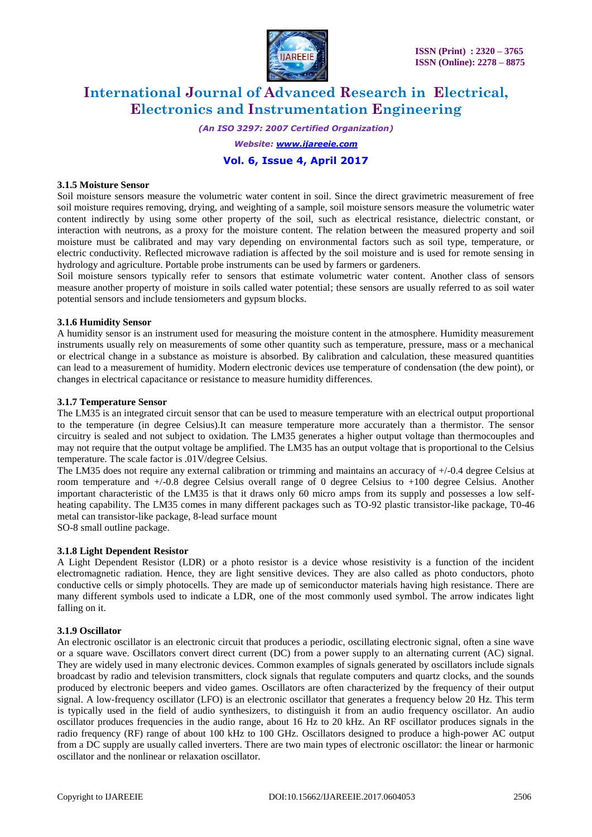

*(An ISO 3297: 2007 Certified Organization)*

*Website: [www.ijareeie.com](http://www.ijareeie.com/)*

# **Vol. 6, Issue 4, April 2017**

#### **3.1.5 Moisture Sensor**

Soil moisture sensors measure the volumetric water content in soil. Since the direct gravimetric measurement of free soil moisture requires removing, drying, and weighting of a sample, soil moisture sensors measure the volumetric water content indirectly by using some other property of the soil, such as electrical resistance, dielectric constant, or interaction with neutrons, as a proxy for the moisture content. The relation between the measured property and soil moisture must be calibrated and may vary depending on environmental factors such as soil type, temperature, or electric conductivity. Reflected microwave radiation is affected by the soil moisture and is used for remote sensing in hydrology and agriculture. Portable probe instruments can be used by farmers or gardeners.

Soil moisture sensors typically refer to sensors that estimate volumetric water content. Another class of sensors measure another property of moisture in soils called water potential; these sensors are usually referred to as soil water potential sensors and include tensiometers and gypsum blocks.

#### **3.1.6 Humidity Sensor**

A humidity sensor is an instrument used for measuring the moisture content in the atmosphere. Humidity measurement instruments usually rely on measurements of some other quantity such as temperature, pressure, mass or a mechanical or electrical change in a substance as moisture is absorbed. By calibration and calculation, these measured quantities can lead to a measurement of humidity. Modern electronic devices use temperature of condensation (the dew point), or changes in electrical capacitance or resistance to measure humidity differences.

#### **3.1.7 Temperature Sensor**

The LM35 is an integrated circuit sensor that can be used to measure temperature with an electrical output proportional to the temperature (in degree Celsius).It can measure temperature more accurately than a thermistor. The sensor circuitry is sealed and not subject to oxidation. The LM35 generates a higher output voltage than thermocouples and may not require that the output voltage be amplified. The LM35 has an output voltage that is proportional to the Celsius temperature. The scale factor is .01V/degree Celsius.

The LM35 does not require any external calibration or trimming and maintains an accuracy of +/-0.4 degree Celsius at room temperature and +/-0.8 degree Celsius overall range of 0 degree Celsius to +100 degree Celsius. Another important characteristic of the LM35 is that it draws only 60 micro amps from its supply and possesses a low selfheating capability. The LM35 comes in many different packages such as TO-92 plastic transistor-like package, T0-46 metal can transistor-like package, 8-lead surface mount SO-8 small outline package.

#### **3.1.8 Light Dependent Resistor**

A Light Dependent Resistor (LDR) or a photo resistor is a device whose resistivity is a function of the incident electromagnetic radiation. Hence, they are light sensitive devices. They are also called as photo conductors, photo conductive cells or simply photocells. They are made up of semiconductor materials having high resistance. There are many different symbols used to indicate a LDR, one of the most commonly used symbol. The arrow indicates light falling on it.

#### **3.1.9 Oscillator**

An electronic oscillator is an electronic circuit that produces a periodic, oscillating electronic signal, often a sine wave or a square wave. Oscillators convert direct current (DC) from a power supply to an alternating current (AC) signal. They are widely used in many electronic devices. Common examples of signals generated by oscillators include signals broadcast by radio and television transmitters, clock signals that regulate computers and quartz clocks, and the sounds produced by electronic beepers and video games. Oscillators are often characterized by the frequency of their output signal. A low-frequency oscillator (LFO) is an electronic oscillator that generates a frequency below 20 Hz. This term is typically used in the field of audio synthesizers, to distinguish it from an audio frequency oscillator. An audio oscillator produces frequencies in the audio range, about 16 Hz to 20 kHz. An RF oscillator produces signals in the radio frequency (RF) range of about 100 kHz to 100 GHz. Oscillators designed to produce a high-power AC output from a DC supply are usually called inverters. There are two main types of electronic oscillator: the linear or harmonic oscillator and the nonlinear or relaxation oscillator.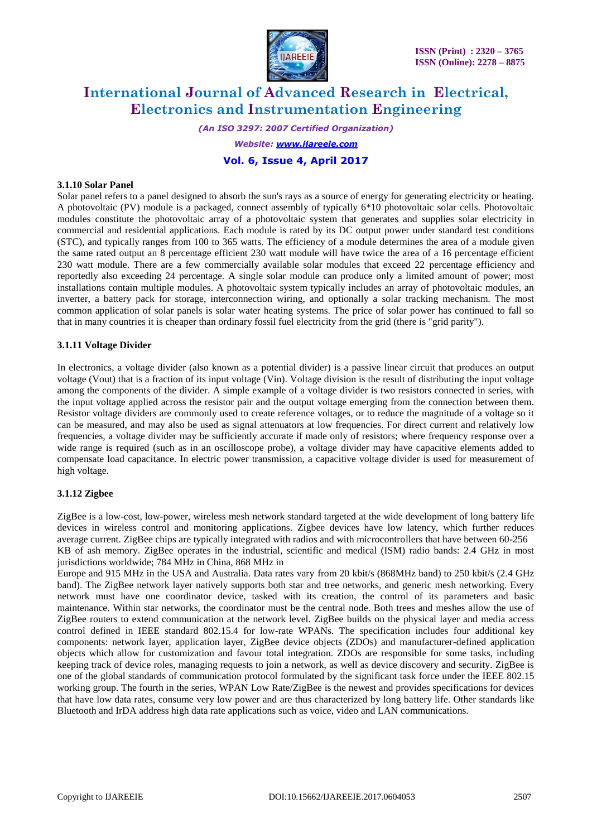

*(An ISO 3297: 2007 Certified Organization) Website: [www.ijareeie.com](http://www.ijareeie.com/)* **Vol. 6, Issue 4, April 2017**

#### **3.1.10 Solar Panel**

Solar panel refers to a panel designed to absorb the sun's rays as a source of energy for generating electricity or heating. A photovoltaic (PV) module is a packaged, connect assembly of typically 6\*10 photovoltaic solar cells. Photovoltaic modules constitute the photovoltaic array of a photovoltaic system that generates and supplies solar electricity in commercial and residential applications. Each module is rated by its DC output power under standard test conditions (STC), and typically ranges from 100 to 365 watts. The efficiency of a module determines the area of a module given the same rated output an 8 percentage efficient 230 watt module will have twice the area of a 16 percentage efficient 230 watt module. There are a few commercially available solar modules that exceed 22 percentage efficiency and reportedly also exceeding 24 percentage. A single solar module can produce only a limited amount of power; most installations contain multiple modules. A photovoltaic system typically includes an array of photovoltaic modules, an inverter, a battery pack for storage, interconnection wiring, and optionally a solar tracking mechanism. The most common application of solar panels is solar water heating systems. The price of solar power has continued to fall so that in many countries it is cheaper than ordinary fossil fuel electricity from the grid (there is "grid parity").

#### **3.1.11 Voltage Divider**

In electronics, a voltage divider (also known as a potential divider) is a passive linear circuit that produces an output voltage (Vout) that is a fraction of its input voltage (Vin). Voltage division is the result of distributing the input voltage among the components of the divider. A simple example of a voltage divider is two resistors connected in series, with the input voltage applied across the resistor pair and the output voltage emerging from the connection between them. Resistor voltage dividers are commonly used to create reference voltages, or to reduce the magnitude of a voltage so it can be measured, and may also be used as signal attenuators at low frequencies. For direct current and relatively low frequencies, a voltage divider may be sufficiently accurate if made only of resistors; where frequency response over a wide range is required (such as in an oscilloscope probe), a voltage divider may have capacitive elements added to compensate load capacitance. In electric power transmission, a capacitive voltage divider is used for measurement of high voltage.

#### **3.1.12 Zigbee**

ZigBee is a low-cost, low-power, wireless mesh network standard targeted at the wide development of long battery life devices in wireless control and monitoring applications. Zigbee devices have low latency, which further reduces average current. ZigBee chips are typically integrated with radios and with microcontrollers that have between 60-256 KB of ash memory. ZigBee operates in the industrial, scientific and medical (ISM) radio bands: 2.4 GHz in most jurisdictions worldwide; 784 MHz in China, 868 MHz in

Europe and 915 MHz in the USA and Australia. Data rates vary from 20 kbit/s (868MHz band) to 250 kbit/s (2.4 GHz band). The ZigBee network layer natively supports both star and tree networks, and generic mesh networking. Every network must have one coordinator device, tasked with its creation, the control of its parameters and basic maintenance. Within star networks, the coordinator must be the central node. Both trees and meshes allow the use of ZigBee routers to extend communication at the network level. ZigBee builds on the physical layer and media access control defined in IEEE standard 802.15.4 for low-rate WPANs. The specification includes four additional key components: network layer, application layer, ZigBee device objects (ZDOs) and manufacturer-defined application objects which allow for customization and favour total integration. ZDOs are responsible for some tasks, including keeping track of device roles, managing requests to join a network, as well as device discovery and security. ZigBee is one of the global standards of communication protocol formulated by the significant task force under the IEEE 802.15 working group. The fourth in the series, WPAN Low Rate/ZigBee is the newest and provides specifications for devices that have low data rates, consume very low power and are thus characterized by long battery life. Other standards like Bluetooth and IrDA address high data rate applications such as voice, video and LAN communications.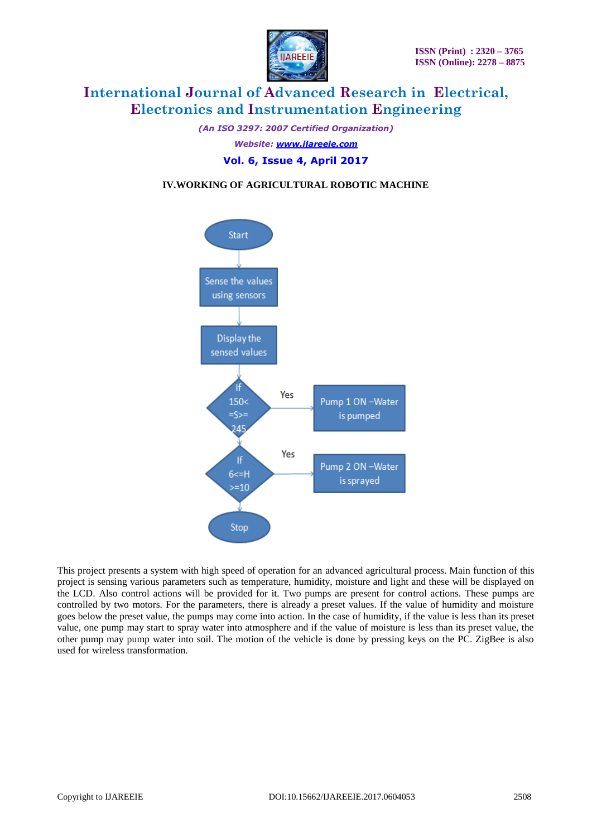

*(An ISO 3297: 2007 Certified Organization) Website: [www.ijareeie.com](http://www.ijareeie.com/)* **Vol. 6, Issue 4, April 2017**

# **IV.WORKING OF AGRICULTURAL ROBOTIC MACHINE**



This project presents a system with high speed of operation for an advanced agricultural process. Main function of this project is sensing various parameters such as temperature, humidity, moisture and light and these will be displayed on the LCD. Also control actions will be provided for it. Two pumps are present for control actions. These pumps are controlled by two motors. For the parameters, there is already a preset values. If the value of humidity and moisture goes below the preset value, the pumps may come into action. In the case of humidity, if the value is less than its preset value, one pump may start to spray water into atmosphere and if the value of moisture is less than its preset value, the other pump may pump water into soil. The motion of the vehicle is done by pressing keys on the PC. ZigBee is also used for wireless transformation.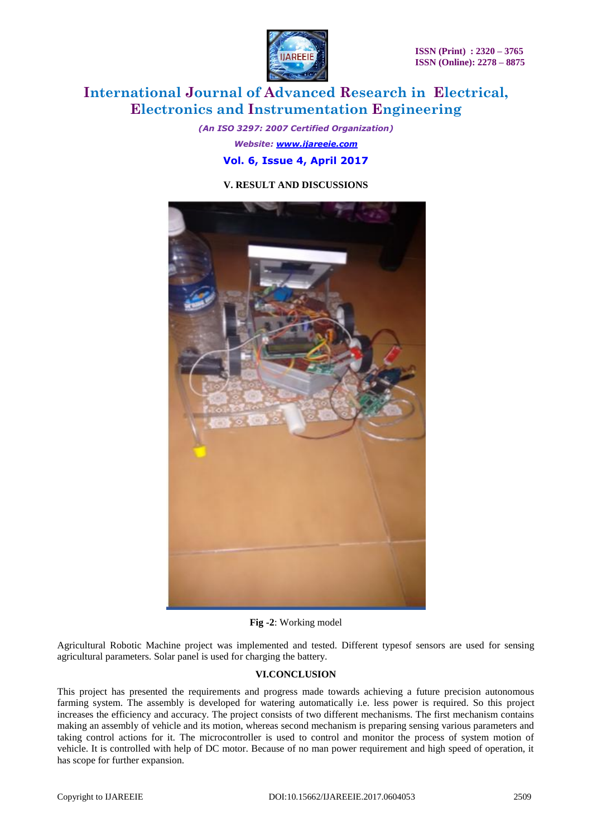

*(An ISO 3297: 2007 Certified Organization) Website: [www.ijareeie.com](http://www.ijareeie.com/)* **Vol. 6, Issue 4, April 2017**

### **V. RESULT AND DISCUSSIONS**



**Fig -2**: Working model

Agricultural Robotic Machine project was implemented and tested. Different typesof sensors are used for sensing agricultural parameters. Solar panel is used for charging the battery.

#### **VI.CONCLUSION**

This project has presented the requirements and progress made towards achieving a future precision autonomous farming system. The assembly is developed for watering automatically i.e. less power is required. So this project increases the efficiency and accuracy. The project consists of two different mechanisms. The first mechanism contains making an assembly of vehicle and its motion, whereas second mechanism is preparing sensing various parameters and taking control actions for it. The microcontroller is used to control and monitor the process of system motion of vehicle. It is controlled with help of DC motor. Because of no man power requirement and high speed of operation, it has scope for further expansion.